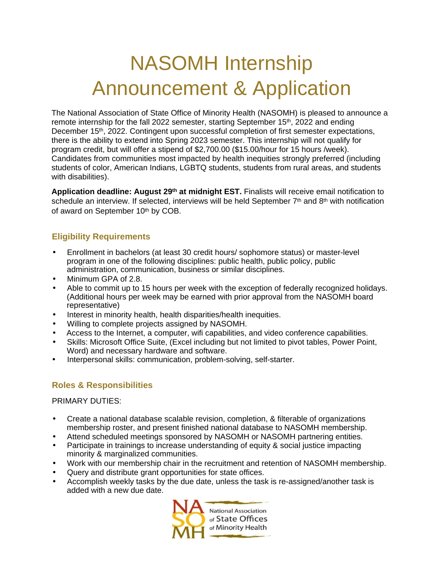# NASOMH Internship Announcement & Application

The National Association of State Office of Minority Health (NASOMH) is pleased to announce a remote internship for the fall 2022 semester, starting September 15<sup>th</sup>, 2022 and ending December 15<sup>th</sup>, 2022. Contingent upon successful completion of first semester expectations, there is the ability to extend into Spring 2023 semester. This internship will not qualify for program credit, but will offer a stipend of \$2,700.00 (\$15.00/hour for 15 hours /week). Candidates from communities most impacted by health inequities strongly preferred (including students of color, American Indians, LGBTQ students, students from rural areas, and students with disabilities).

**Application deadline: August 29th at midnight EST.** Finalists will receive email notification to schedule an interview. If selected, interviews will be held September  $7<sup>th</sup>$  and  $8<sup>th</sup>$  with notification of award on September 10th by COB.

## **Eligibility Requirements**

- Enrollment in bachelors (at least 30 credit hours/ sophomore status) or master-level program in one of the following disciplines: public health, public policy, public administration, communication, business or similar disciplines.
- Minimum GPA of 2.8.
- Able to commit up to 15 hours per week with the exception of federally recognized holidays. (Additional hours per week may be earned with prior approval from the NASOMH board representative)
- Interest in minority health, health disparities/health inequities.
- Willing to complete projects assigned by NASOMH.
- Access to the Internet, a computer, wifi capabilities, and video conference capabilities.
- Skills: Microsoft Office Suite, (Excel including but not limited to pivot tables, Power Point, Word) and necessary hardware and software.
- Interpersonal skills: communication, problem-solving, self-starter.

## **Roles & Responsibilities**

#### PRIMARY DUTIES:

- Create a national database scalable revision, completion, & filterable of organizations membership roster, and present finished national database to NASOMH membership.
- Attend scheduled meetings sponsored by NASOMH or NASOMH partnering entities.
- Participate in trainings to increase understanding of equity & social justice impacting minority & marginalized communities.
- Work with our membership chair in the recruitment and retention of NASOMH membership.
- Query and distribute grant opportunities for state offices.
- Accomplish weekly tasks by the due date, unless the task is re-assigned/another task is added with a new due date.

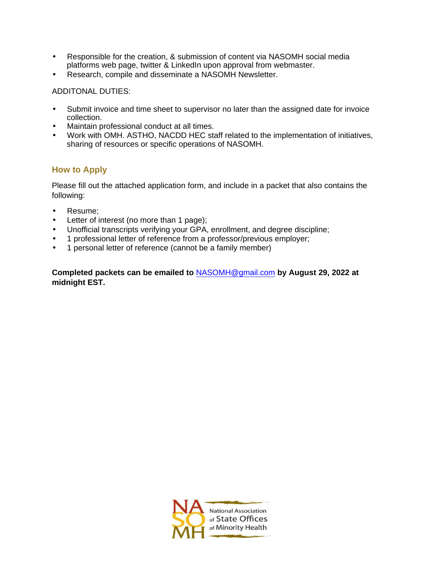- Responsible for the creation, & submission of content via NASOMH social media platforms web page, twitter & LinkedIn upon approval from webmaster.
- Research, compile and disseminate a NASOMH Newsletter.

#### ADDITONAL DUTIES:

- Submit invoice and time sheet to supervisor no later than the assigned date for invoice collection.
- Maintain professional conduct at all times.
- Work with OMH. ASTHO, NACDD HEC staff related to the implementation of initiatives, sharing of resources or specific operations of NASOMH.

## **How to Apply**

Please fill out the attached application form, and include in a packet that also contains the following:

- Resume;
- Letter of interest (no more than 1 page);
- Unofficial transcripts verifying your GPA, enrollment, and degree discipline;
- 1 professional letter of reference from a professor/previous employer;
- 1 personal letter of reference (cannot be a family member)

**Completed packets can be emailed to** NASOMH@gmail.com **by August 29, 2022 at midnight EST.**